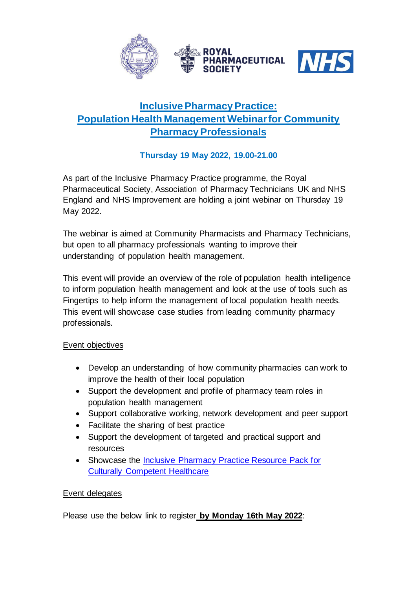

# **Inclusive Pharmacy Practice: Population Health Management Webinarfor Community Pharmacy Professionals**

# **Thursday 19 May 2022, 19.00-21.00**

As part of the Inclusive Pharmacy Practice programme, the Royal Pharmaceutical Society, Association of Pharmacy Technicians UK and NHS England and NHS Improvement are holding a joint webinar on Thursday 19 May 2022.

The webinar is aimed at Community Pharmacists and Pharmacy Technicians, but open to all pharmacy professionals wanting to improve their understanding of population health management.

This event will provide an overview of the role of population health intelligence to inform population health management and look at the use of tools such as Fingertips to help inform the management of local population health needs. This event will showcase case studies from leading community pharmacy professionals.

### Event objectives

- Develop an understanding of how community pharmacies can work to improve the health of their local population
- Support the development and profile of pharmacy team roles in population health management
- Support collaborative working, network development and peer support
- Facilitate the sharing of best practice
- Support the development of targeted and practical support and resources
- Showcase the [Inclusive Pharmacy Practice Resource Pack for](https://www.rpharms.com/LinkClick.aspx?fileticket=QJVxWmgAq14%3D&portalid=0)  [Culturally Competent Healthcare](https://www.rpharms.com/LinkClick.aspx?fileticket=QJVxWmgAq14%3D&portalid=0)

#### Event delegates

Please use the below link to register **by Monday 16th May 2022**: